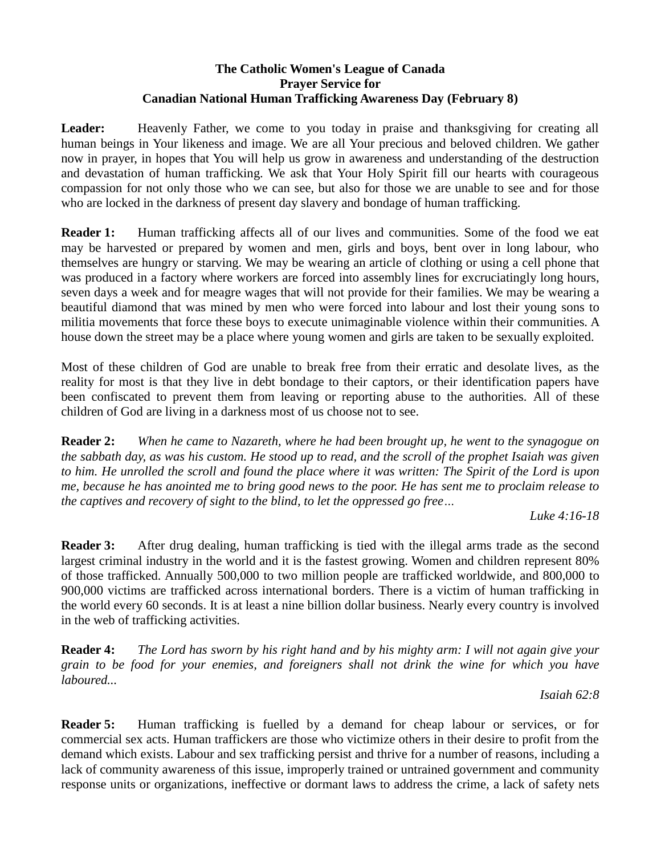# **The Catholic Women's League of Canada Prayer Service for Canadian National Human Trafficking Awareness Day (February 8)**

Leader: Heavenly Father, we come to you today in praise and thanksgiving for creating all human beings in Your likeness and image. We are all Your precious and beloved children. We gather now in prayer, in hopes that You will help us grow in awareness and understanding of the destruction and devastation of human trafficking. We ask that Your Holy Spirit fill our hearts with courageous compassion for not only those who we can see, but also for those we are unable to see and for those who are locked in the darkness of present day slavery and bondage of human trafficking.

**Reader 1:** Human trafficking affects all of our lives and communities. Some of the food we eat may be harvested or prepared by women and men, girls and boys, bent over in long labour, who themselves are hungry or starving. We may be wearing an article of clothing or using a cell phone that was produced in a factory where workers are forced into assembly lines for excruciatingly long hours, seven days a week and for meagre wages that will not provide for their families. We may be wearing a beautiful diamond that was mined by men who were forced into labour and lost their young sons to militia movements that force these boys to execute unimaginable violence within their communities. A house down the street may be a place where young women and girls are taken to be sexually exploited.

Most of these children of God are unable to break free from their erratic and desolate lives, as the reality for most is that they live in debt bondage to their captors, or their identification papers have been confiscated to prevent them from leaving or reporting abuse to the authorities. All of these children of God are living in a darkness most of us choose not to see.

**Reader 2:** *When he came to Nazareth, where he had been brought up, he went to the synagogue on the sabbath day, as was his custom. He stood up to read, and the scroll of the prophet Isaiah was given to him. He unrolled the scroll and found the place where it was written: The Spirit of the Lord is upon me, because he has anointed me to bring good news to the poor. He has sent me to proclaim release to the captives and recovery of sight to the blind, to let the oppressed go free…*

*Luke 4:16-18*

**Reader 3:** After drug dealing, human trafficking is tied with the illegal arms trade as the second largest criminal industry in the world and it is the fastest growing. Women and children represent 80% of those trafficked. Annually 500,000 to two million people are trafficked worldwide, and 800,000 to 900,000 victims are trafficked across international borders. There is a victim of human trafficking in the world every 60 seconds. It is at least a nine billion dollar business. Nearly every country is involved in the web of trafficking activities.

**Reader 4:** *The Lord has sworn by his right hand and by his mighty arm: I will not again give your grain to be food for your enemies, and foreigners shall not drink the wine for which you have laboured...*

*Isaiah 62:8*

**Reader 5:** Human trafficking is fuelled by a demand for cheap labour or services, or for commercial sex acts. Human traffickers are those who victimize others in their desire to profit from the demand which exists. Labour and sex trafficking persist and thrive for a number of reasons, including a lack of community awareness of this issue, improperly trained or untrained government and community response units or organizations, ineffective or dormant laws to address the crime, a lack of safety nets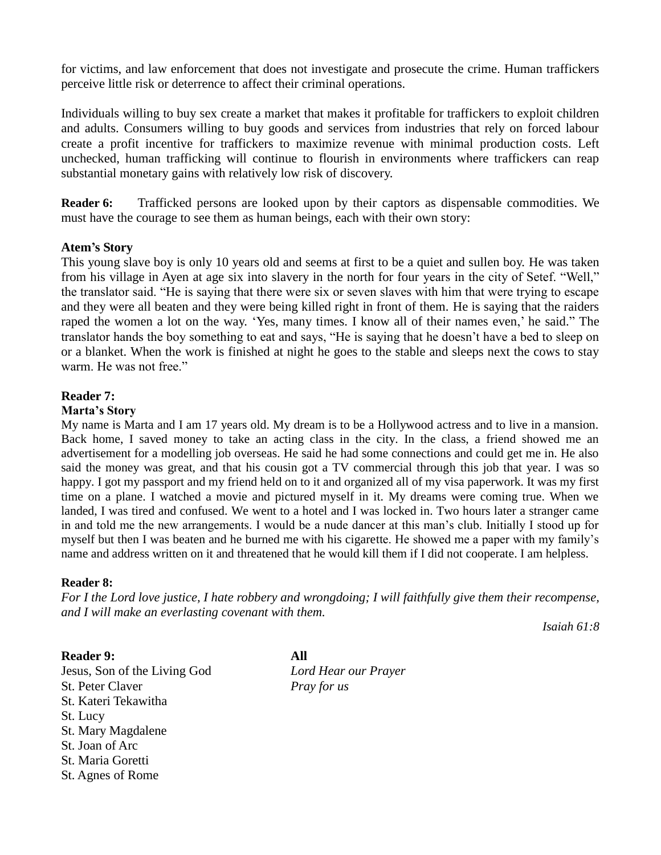for victims, and law enforcement that does not investigate and prosecute the crime. Human traffickers perceive little risk or deterrence to affect their criminal operations.

Individuals willing to buy sex create a market that makes it profitable for traffickers to exploit children and adults. Consumers willing to buy goods and services from industries that rely on forced labour create a profit incentive for traffickers to maximize revenue with minimal production costs. Left unchecked, human trafficking will continue to flourish in environments where traffickers can reap substantial monetary gains with relatively low risk of discovery.

**Reader 6:** Trafficked persons are looked upon by their captors as dispensable commodities. We must have the courage to see them as human beings, each with their own story:

## **Atem's Story**

This young slave boy is only 10 years old and seems at first to be a quiet and sullen boy. He was taken from his village in Ayen at age six into slavery in the north for four years in the city of Setef. "Well," the translator said. "He is saying that there were six or seven slaves with him that were trying to escape and they were all beaten and they were being killed right in front of them. He is saying that the raiders raped the women a lot on the way. 'Yes, many times. I know all of their names even,' he said." The translator hands the boy something to eat and says, "He is saying that he doesn't have a bed to sleep on or a blanket. When the work is finished at night he goes to the stable and sleeps next the cows to stay warm. He was not free."

## **Reader 7:**

#### **Marta's Story**

My name is Marta and I am 17 years old. My dream is to be a Hollywood actress and to live in a mansion. Back home, I saved money to take an acting class in the city. In the class, a friend showed me an advertisement for a modelling job overseas. He said he had some connections and could get me in. He also said the money was great, and that his cousin got a TV commercial through this job that year. I was so happy. I got my passport and my friend held on to it and organized all of my visa paperwork. It was my first time on a plane. I watched a movie and pictured myself in it. My dreams were coming true. When we landed, I was tired and confused. We went to a hotel and I was locked in. Two hours later a stranger came in and told me the new arrangements. I would be a nude dancer at this man's club. Initially I stood up for myself but then I was beaten and he burned me with his cigarette. He showed me a paper with my family's name and address written on it and threatened that he would kill them if I did not cooperate. I am helpless.

#### **Reader 8:**

*For I the Lord love justice, I hate robbery and wrongdoing; I will faithfully give them their recompense, and I will make an everlasting covenant with them.*

*Isaiah 61:8*

#### **Reader 9: All**

Jesus, Son of the Living God *Lord Hear our Prayer* St. Peter Claver *Pray for us* St. Kateri Tekawitha St. Lucy St. Mary Magdalene St. Joan of Arc St. Maria Goretti St. Agnes of Rome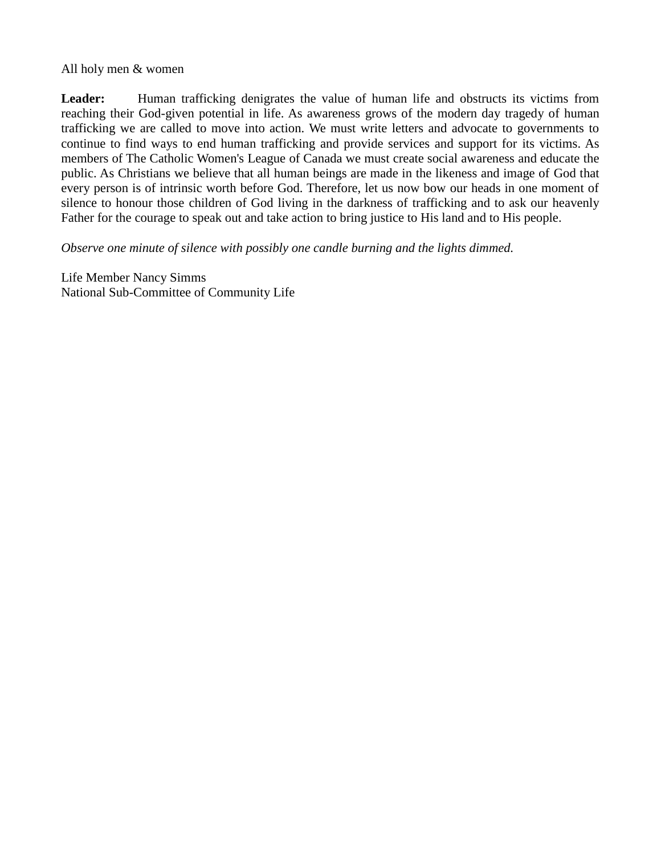All holy men & women

Leader: Human trafficking denigrates the value of human life and obstructs its victims from reaching their God-given potential in life. As awareness grows of the modern day tragedy of human trafficking we are called to move into action. We must write letters and advocate to governments to continue to find ways to end human trafficking and provide services and support for its victims. As members of The Catholic Women's League of Canada we must create social awareness and educate the public. As Christians we believe that all human beings are made in the likeness and image of God that every person is of intrinsic worth before God. Therefore, let us now bow our heads in one moment of silence to honour those children of God living in the darkness of trafficking and to ask our heavenly Father for the courage to speak out and take action to bring justice to His land and to His people.

*Observe one minute of silence with possibly one candle burning and the lights dimmed.*

Life Member Nancy Simms National Sub-Committee of Community Life